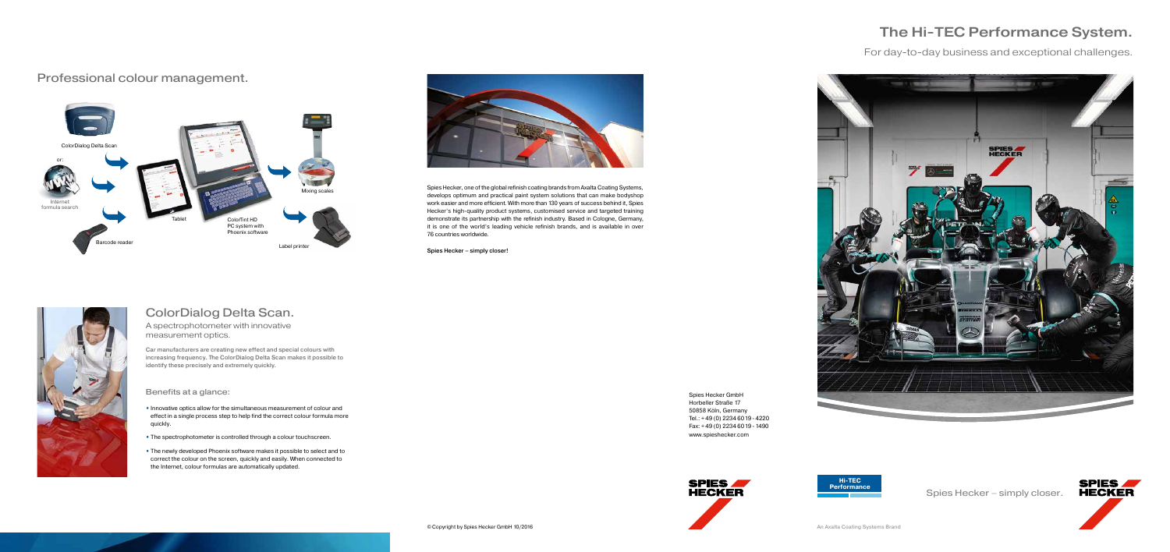Car manufacturers are creating new effect and special colours with increasing frequency. The ColorDialog Delta Scan makes it possible to identify these precisely and extremely quickly.

### ColorDialog Delta Scan.

A spectrophotometer with innovative measurement optics.

Benefits at a glance:

- Innovative optics allow for the simultaneous measurement of colour and effect in a single process step to help find the correct colour formula more quickly.
- The spectrophotometer is controlled through a colour touchscreen.
- The newly developed Phoenix software makes it possible to select and to correct the colour on the screen, quickly and easily. When connected to the Internet, colour formulas are automatically updated.

### The Hi-TEC Performance System.

Spies Hecker – simply closer.



Spies Hecker GmbH Horbeller Straße 17 50858 Köln, Germany Tel.: + 49 (0) 2234 6019 - 4220 Fax: + 49 (0) 2234 6019 - 1490 www.spieshecker.com



Spies Hecker, one of the global refinish coating brands from Axalta Coating Systems, develops optimum and practical paint system solutions that can make bodyshop work easier and more efficient. With more than 130 years of success behind it, Spies Hecker's high-quality product systems, customised service and targeted training demonstrate its partnership with the refinish industry. Based in Cologne, Germany, it is one of the world's leading vehicle refinish brands, and is available in over 76 countries worldwide.

Spies Hecker – simply closer!







### Professional colour management.

For day-to-day business and exceptional challenges.